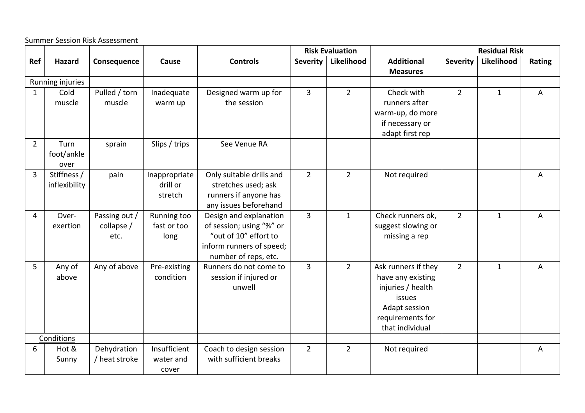Summer Session Risk Assessment

|                |                         |               |               |                                                   | <b>Risk Evaluation</b> |                |                     | <b>Residual Risk</b> |              |                |  |
|----------------|-------------------------|---------------|---------------|---------------------------------------------------|------------------------|----------------|---------------------|----------------------|--------------|----------------|--|
| Ref            | <b>Hazard</b>           | Consequence   | Cause         | <b>Controls</b>                                   | <b>Severity</b>        | Likelihood     | <b>Additional</b>   | <b>Severity</b>      | Likelihood   | Rating         |  |
|                |                         |               |               |                                                   |                        |                | <b>Measures</b>     |                      |              |                |  |
|                | <b>Running injuries</b> |               |               |                                                   |                        |                |                     |                      |              |                |  |
| $\mathbf{1}$   | Cold                    | Pulled / torn | Inadequate    | Designed warm up for                              | $\overline{3}$         | $\overline{2}$ | Check with          | $\overline{2}$       | $\mathbf{1}$ | $\overline{A}$ |  |
|                | muscle                  | muscle        | warm up       | the session                                       |                        |                | runners after       |                      |              |                |  |
|                |                         |               |               |                                                   |                        |                | warm-up, do more    |                      |              |                |  |
|                |                         |               |               |                                                   |                        |                | if necessary or     |                      |              |                |  |
|                |                         |               |               |                                                   |                        |                | adapt first rep     |                      |              |                |  |
| $\overline{2}$ | Turn                    | sprain        | Slips / trips | See Venue RA                                      |                        |                |                     |                      |              |                |  |
|                | foot/ankle              |               |               |                                                   |                        |                |                     |                      |              |                |  |
|                | over                    |               |               |                                                   |                        |                |                     |                      |              |                |  |
| 3              | Stiffness /             | pain          | Inappropriate | Only suitable drills and                          | $\overline{2}$         | $\overline{2}$ | Not required        |                      |              | A              |  |
|                | inflexibility           |               | drill or      | stretches used; ask                               |                        |                |                     |                      |              |                |  |
|                |                         |               | stretch       | runners if anyone has                             |                        |                |                     |                      |              |                |  |
|                |                         |               |               | any issues beforehand                             |                        |                |                     |                      |              |                |  |
| 4              | Over-                   | Passing out / | Running too   | Design and explanation                            | $\overline{3}$         | $\mathbf{1}$   | Check runners ok,   | $\overline{2}$       | $\mathbf{1}$ | A              |  |
|                | exertion                | collapse /    | fast or too   | of session; using "%" or<br>"out of 10" effort to |                        |                | suggest slowing or  |                      |              |                |  |
|                |                         | etc.          | long          | inform runners of speed;                          |                        |                | missing a rep       |                      |              |                |  |
|                |                         |               |               | number of reps, etc.                              |                        |                |                     |                      |              |                |  |
| 5              | Any of                  | Any of above  | Pre-existing  | Runners do not come to                            | 3                      | $\overline{2}$ | Ask runners if they | $\overline{2}$       | $\mathbf{1}$ | A              |  |
|                | above                   |               | condition     | session if injured or                             |                        |                | have any existing   |                      |              |                |  |
|                |                         |               |               | unwell                                            |                        |                | injuries / health   |                      |              |                |  |
|                |                         |               |               |                                                   |                        |                | issues              |                      |              |                |  |
|                |                         |               |               |                                                   |                        |                | Adapt session       |                      |              |                |  |
|                |                         |               |               |                                                   |                        |                | requirements for    |                      |              |                |  |
|                |                         |               |               |                                                   |                        |                | that individual     |                      |              |                |  |
| Conditions     |                         |               |               |                                                   |                        |                |                     |                      |              |                |  |
| 6              | Hot &                   | Dehydration   | Insufficient  | Coach to design session                           | $\overline{2}$         | $\overline{2}$ | Not required        |                      |              | A              |  |
|                | Sunny                   | / heat stroke | water and     | with sufficient breaks                            |                        |                |                     |                      |              |                |  |
|                |                         |               | cover         |                                                   |                        |                |                     |                      |              |                |  |